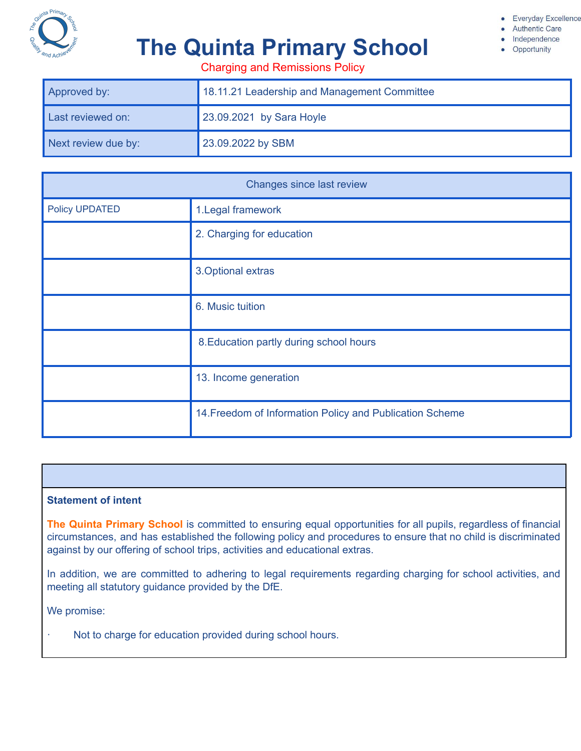

- **Authentic Care** 
	- Independence Opportunity

# **The Quinta Primary School**

Charging and Remissions Policy

| Approved by:        | 18.11.21 Leadership and Management Committee |
|---------------------|----------------------------------------------|
| Last reviewed on:   | 23.09.2021 by Sara Hoyle                     |
| Next review due by: | 23.09.2022 by SBM                            |

| Changes since last review |                                                          |
|---------------------------|----------------------------------------------------------|
| <b>Policy UPDATED</b>     | 1. Legal framework                                       |
|                           | 2. Charging for education                                |
|                           | 3. Optional extras                                       |
|                           | 6. Music tuition                                         |
|                           | 8. Education partly during school hours                  |
|                           | 13. Income generation                                    |
|                           | 14. Freedom of Information Policy and Publication Scheme |

#### **Statement of intent**

**The Quinta Primary School** is committed to ensuring equal opportunities for all pupils, regardless of financial circumstances, and has established the following policy and procedures to ensure that no child is discriminated against by our offering of school trips, activities and educational extras.

In addition, we are committed to adhering to legal requirements regarding charging for school activities, and meeting all statutory guidance provided by the DfE.

We promise:

Not to charge for education provided during school hours.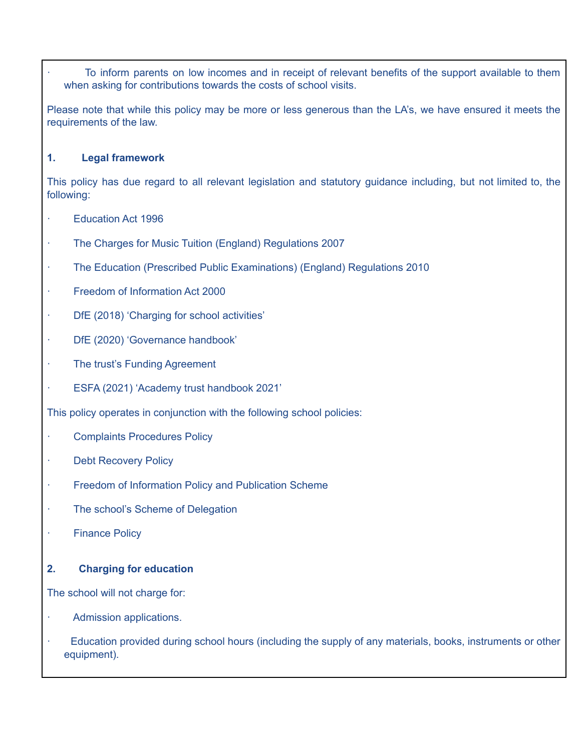To inform parents on low incomes and in receipt of relevant benefits of the support available to them when asking for contributions towards the costs of school visits.

Please note that while this policy may be more or less generous than the LA's, we have ensured it meets the requirements of the law.

### **1. Legal framework**

This policy has due regard to all relevant legislation and statutory guidance including, but not limited to, the following:

- Education Act 1996
- · The Charges for Music Tuition (England) Regulations 2007
- · The Education (Prescribed Public Examinations) (England) Regulations 2010
- Freedom of Information Act 2000
- · DfE (2018) 'Charging for school activities'
- · DfE (2020) 'Governance handbook'
- The trust's Funding Agreement
- · ESFA (2021) 'Academy trust handbook 2021'

This policy operates in conjunction with the following school policies:

- Complaints Procedures Policy
- · Debt Recovery Policy
- · Freedom of Information Policy and Publication Scheme
- The school's Scheme of Delegation
- **Finance Policy**

# **2. Charging for education**

The school will not charge for:

- Admission applications.
- Education provided during school hours (including the supply of any materials, books, instruments or other equipment).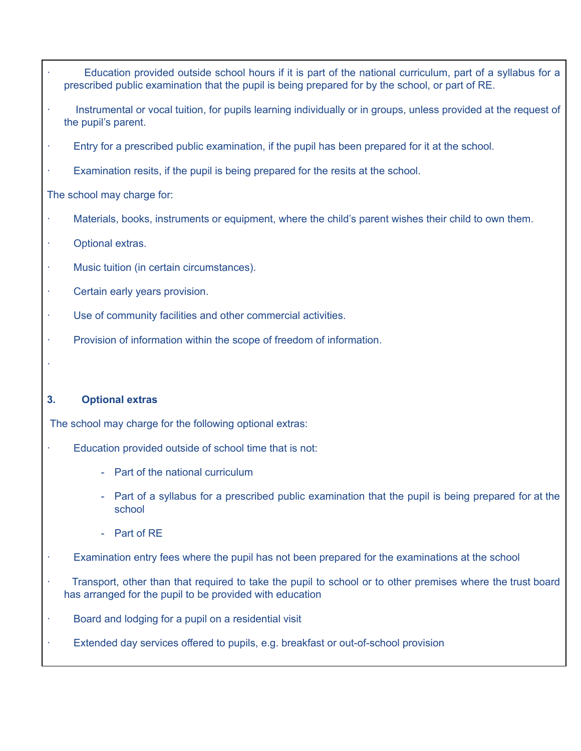- Education provided outside school hours if it is part of the national curriculum, part of a syllabus for a prescribed public examination that the pupil is being prepared for by the school, or part of RE.
- Instrumental or vocal tuition, for pupils learning individually or in groups, unless provided at the request of the pupil's parent.
- Entry for a prescribed public examination, if the pupil has been prepared for it at the school.
- Examination resits, if the pupil is being prepared for the resits at the school.

The school may charge for:

- Materials, books, instruments or equipment, where the child's parent wishes their child to own them.
- · Optional extras.
- · Music tuition (in certain circumstances).
- Certain early years provision.
- · Use of community facilities and other commercial activities.
- Provision of information within the scope of freedom of information.

#### **3. Optional extras**

·

The school may charge for the following optional extras:

- Education provided outside of school time that is not:
	- Part of the national curriculum
	- Part of a syllabus for a prescribed public examination that the pupil is being prepared for at the school
	- Part of RE
- Examination entry fees where the pupil has not been prepared for the examinations at the school
- · Transport, other than that required to take the pupil to school or to other premises where the trust board has arranged for the pupil to be provided with education
- Board and lodging for a pupil on a residential visit
- Extended day services offered to pupils, e.g. breakfast or out-of-school provision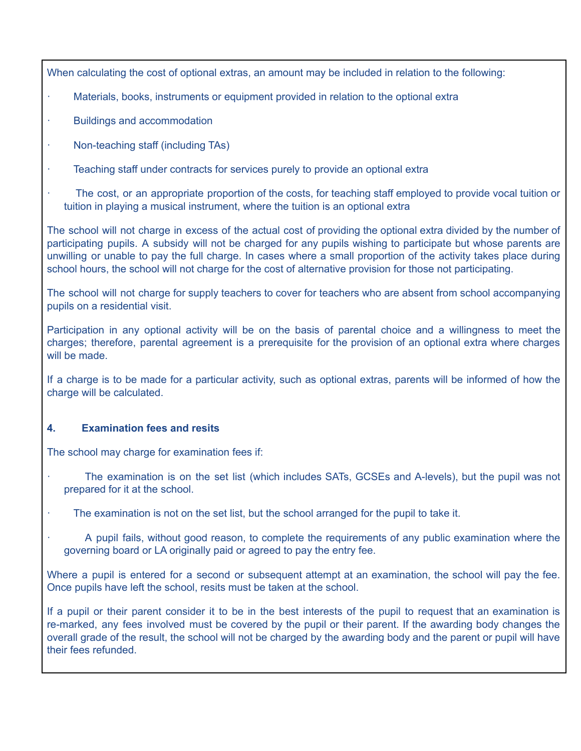When calculating the cost of optional extras, an amount may be included in relation to the following:

- Materials, books, instruments or equipment provided in relation to the optional extra
- Buildings and accommodation
- · Non-teaching staff (including TAs)
- Teaching staff under contracts for services purely to provide an optional extra
- The cost, or an appropriate proportion of the costs, for teaching staff employed to provide vocal tuition or tuition in playing a musical instrument, where the tuition is an optional extra

The school will not charge in excess of the actual cost of providing the optional extra divided by the number of participating pupils. A subsidy will not be charged for any pupils wishing to participate but whose parents are unwilling or unable to pay the full charge. In cases where a small proportion of the activity takes place during school hours, the school will not charge for the cost of alternative provision for those not participating.

The school will not charge for supply teachers to cover for teachers who are absent from school accompanying pupils on a residential visit.

Participation in any optional activity will be on the basis of parental choice and a willingness to meet the charges; therefore, parental agreement is a prerequisite for the provision of an optional extra where charges will be made.

If a charge is to be made for a particular activity, such as optional extras, parents will be informed of how the charge will be calculated.

# **4. Examination fees and resits**

The school may charge for examination fees if:

- The examination is on the set list (which includes SATs, GCSEs and A-levels), but the pupil was not prepared for it at the school.
- The examination is not on the set list, but the school arranged for the pupil to take it.
	- · A pupil fails, without good reason, to complete the requirements of any public examination where the governing board or LA originally paid or agreed to pay the entry fee.

Where a pupil is entered for a second or subsequent attempt at an examination, the school will pay the fee. Once pupils have left the school, resits must be taken at the school.

If a pupil or their parent consider it to be in the best interests of the pupil to request that an examination is re-marked, any fees involved must be covered by the pupil or their parent. If the awarding body changes the overall grade of the result, the school will not be charged by the awarding body and the parent or pupil will have their fees refunded.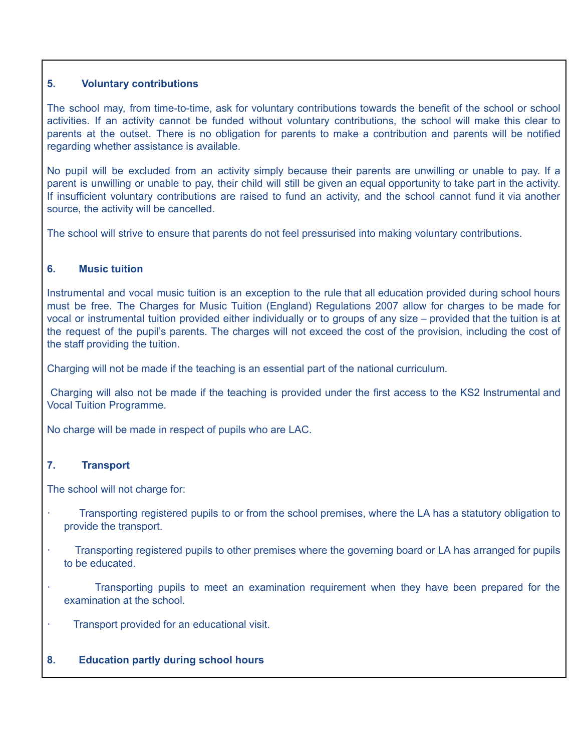### **5. Voluntary contributions**

The school may, from time-to-time, ask for voluntary contributions towards the benefit of the school or school activities. If an activity cannot be funded without voluntary contributions, the school will make this clear to parents at the outset. There is no obligation for parents to make a contribution and parents will be notified regarding whether assistance is available.

No pupil will be excluded from an activity simply because their parents are unwilling or unable to pay. If a parent is unwilling or unable to pay, their child will still be given an equal opportunity to take part in the activity. If insufficient voluntary contributions are raised to fund an activity, and the school cannot fund it via another source, the activity will be cancelled.

The school will strive to ensure that parents do not feel pressurised into making voluntary contributions.

### **6. Music tuition**

Instrumental and vocal music tuition is an exception to the rule that all education provided during school hours must be free. The Charges for Music Tuition (England) Regulations 2007 allow for charges to be made for vocal or instrumental tuition provided either individually or to groups of any size – provided that the tuition is at the request of the pupil's parents. The charges will not exceed the cost of the provision, including the cost of the staff providing the tuition.

Charging will not be made if the teaching is an essential part of the national curriculum.

Charging will also not be made if the teaching is provided under the first access to the KS2 Instrumental and Vocal Tuition Programme.

No charge will be made in respect of pupils who are LAC.

# **7. Transport**

The school will not charge for:

- · Transporting registered pupils to or from the school premises, where the LA has a statutory obligation to provide the transport.
- · Transporting registered pupils to other premises where the governing board or LA has arranged for pupils to be educated.
- Transporting pupils to meet an examination requirement when they have been prepared for the examination at the school.
- Transport provided for an educational visit.

# **8. Education partly during school hours**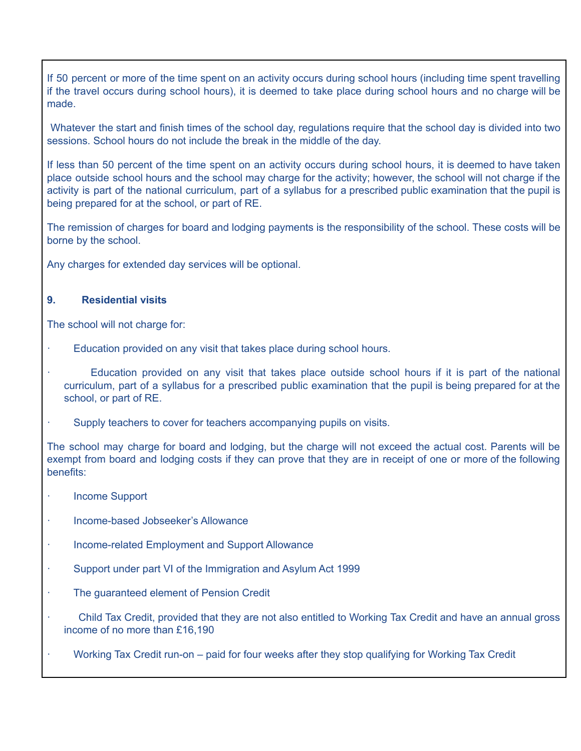If 50 percent or more of the time spent on an activity occurs during school hours (including time spent travelling if the travel occurs during school hours), it is deemed to take place during school hours and no charge will be made.

Whatever the start and finish times of the school day, regulations require that the school day is divided into two sessions. School hours do not include the break in the middle of the day.

If less than 50 percent of the time spent on an activity occurs during school hours, it is deemed to have taken place outside school hours and the school may charge for the activity; however, the school will not charge if the activity is part of the national curriculum, part of a syllabus for a prescribed public examination that the pupil is being prepared for at the school, or part of RE.

The remission of charges for board and lodging payments is the responsibility of the school. These costs will be borne by the school.

Any charges for extended day services will be optional.

### **9. Residential visits**

The school will not charge for:

- Education provided on any visit that takes place during school hours.
	- Education provided on any visit that takes place outside school hours if it is part of the national curriculum, part of a syllabus for a prescribed public examination that the pupil is being prepared for at the school, or part of RE.
- Supply teachers to cover for teachers accompanying pupils on visits.

The school may charge for board and lodging, but the charge will not exceed the actual cost. Parents will be exempt from board and lodging costs if they can prove that they are in receipt of one or more of the following benefits:

- · Income Support
- · Income-based Jobseeker's Allowance
- Income-related Employment and Support Allowance
- Support under part VI of the Immigration and Asylum Act 1999
- The guaranteed element of Pension Credit
- · Child Tax Credit, provided that they are not also entitled to Working Tax Credit and have an annual gross income of no more than £16,190
- · Working Tax Credit run-on paid for four weeks after they stop qualifying for Working Tax Credit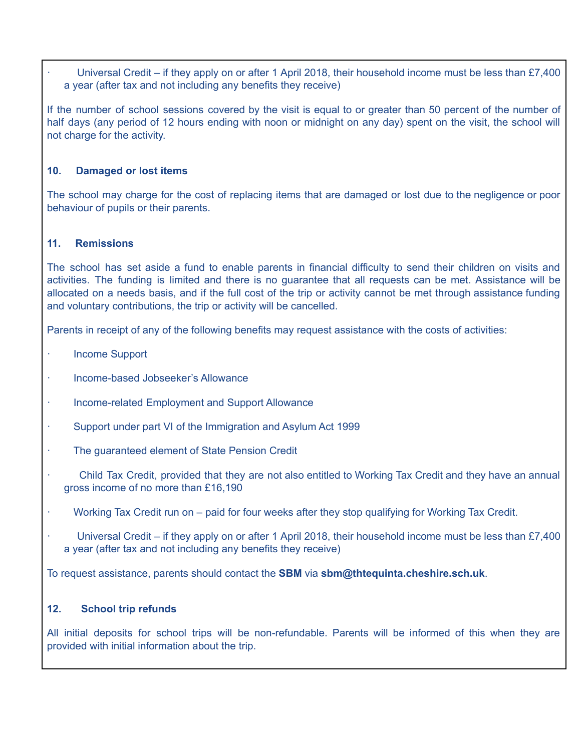Universal Credit – if they apply on or after 1 April 2018, their household income must be less than £7,400 a year (after tax and not including any benefits they receive)

If the number of school sessions covered by the visit is equal to or greater than 50 percent of the number of half days (any period of 12 hours ending with noon or midnight on any day) spent on the visit, the school will not charge for the activity.

### **10. Damaged or lost items**

The school may charge for the cost of replacing items that are damaged or lost due to the negligence or poor behaviour of pupils or their parents.

### **11. Remissions**

The school has set aside a fund to enable parents in financial difficulty to send their children on visits and activities. The funding is limited and there is no guarantee that all requests can be met. Assistance will be allocated on a needs basis, and if the full cost of the trip or activity cannot be met through assistance funding and voluntary contributions, the trip or activity will be cancelled.

Parents in receipt of any of the following benefits may request assistance with the costs of activities:

- **Income Support**
- · Income-based Jobseeker's Allowance
- Income-related Employment and Support Allowance
- Support under part VI of the Immigration and Asylum Act 1999
- The quaranteed element of State Pension Credit
- · Child Tax Credit, provided that they are not also entitled to Working Tax Credit and they have an annual gross income of no more than £16,190
- · Working Tax Credit run on paid for four weeks after they stop qualifying for Working Tax Credit.
- Universal Credit if they apply on or after 1 April 2018, their household income must be less than £7,400 a year (after tax and not including any benefits they receive)

To request assistance, parents should contact the **SBM** via **sbm@thtequinta.cheshire.sch.uk**.

#### **12. School trip refunds**

All initial deposits for school trips will be non-refundable. Parents will be informed of this when they are provided with initial information about the trip.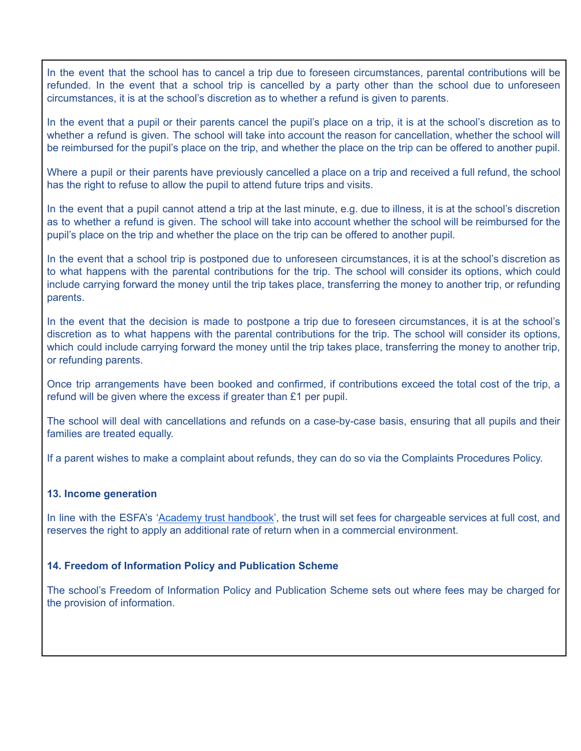In the event that the school has to cancel a trip due to foreseen circumstances, parental contributions will be refunded. In the event that a school trip is cancelled by a party other than the school due to unforeseen circumstances, it is at the school's discretion as to whether a refund is given to parents.

In the event that a pupil or their parents cancel the pupil's place on a trip, it is at the school's discretion as to whether a refund is given. The school will take into account the reason for cancellation, whether the school will be reimbursed for the pupil's place on the trip, and whether the place on the trip can be offered to another pupil.

Where a pupil or their parents have previously cancelled a place on a trip and received a full refund, the school has the right to refuse to allow the pupil to attend future trips and visits.

In the event that a pupil cannot attend a trip at the last minute, e.g. due to illness, it is at the school's discretion as to whether a refund is given. The school will take into account whether the school will be reimbursed for the pupil's place on the trip and whether the place on the trip can be offered to another pupil.

In the event that a school trip is postponed due to unforeseen circumstances, it is at the school's discretion as to what happens with the parental contributions for the trip. The school will consider its options, which could include carrying forward the money until the trip takes place, transferring the money to another trip, or refunding parents.

In the event that the decision is made to postpone a trip due to foreseen circumstances, it is at the school's discretion as to what happens with the parental contributions for the trip. The school will consider its options, which could include carrying forward the money until the trip takes place, transferring the money to another trip, or refunding parents.

Once trip arrangements have been booked and confirmed, if contributions exceed the total cost of the trip, a refund will be given where the excess if greater than £1 per pupil.

The school will deal with cancellations and refunds on a case-by-case basis, ensuring that all pupils and their families are treated equally.

If a parent wishes to make a complaint about refunds, they can do so via the Complaints Procedures Policy.

#### **13. Income generation**

In line with the ESFA's 'Academy trust [handbook'](https://www.gov.uk/guidance/academies-financial-handbook/academy-trust-handbook-2021), the trust will set fees for chargeable services at full cost, and reserves the right to apply an additional rate of return when in a commercial environment.

#### **14. Freedom of Information Policy and Publication Scheme**

The school's Freedom of Information Policy and Publication Scheme sets out where fees may be charged for the provision of information.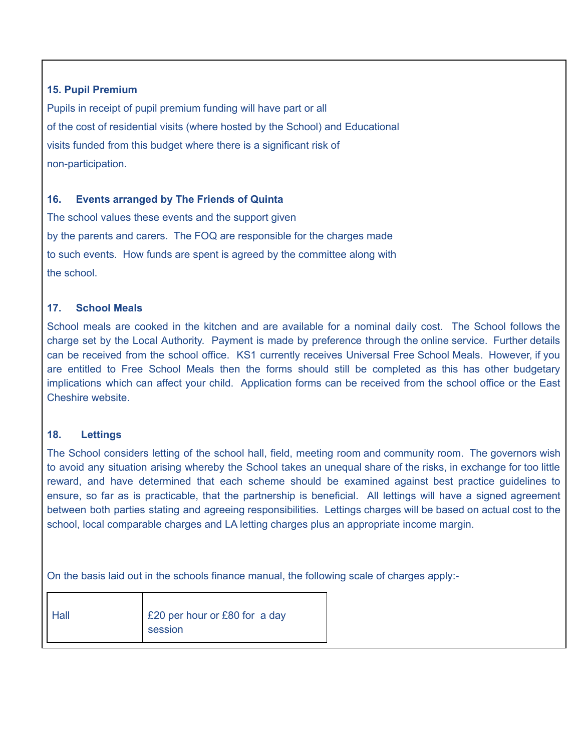## **15. Pupil Premium**

Pupils in receipt of pupil premium funding will have part or all of the cost of residential visits (where hosted by the School) and Educational visits funded from this budget where there is a significant risk of non-participation.

### **16. Events arranged by The Friends of Quinta**

The school values these events and the support given by the parents and carers. The FOQ are responsible for the charges made to such events. How funds are spent is agreed by the committee along with the school.

### **17. School Meals**

School meals are cooked in the kitchen and are available for a nominal daily cost. The School follows the charge set by the Local Authority. Payment is made by preference through the online service. Further details can be received from the school office. KS1 currently receives Universal Free School Meals. However, if you are entitled to Free School Meals then the forms should still be completed as this has other budgetary implications which can affect your child. Application forms can be received from the school office or the East Cheshire website.

#### **18. Lettings**

The School considers letting of the school hall, field, meeting room and community room. The governors wish to avoid any situation arising whereby the School takes an unequal share of the risks, in exchange for too little reward, and have determined that each scheme should be examined against best practice guidelines to ensure, so far as is practicable, that the partnership is beneficial. All lettings will have a signed agreement between both parties stating and agreeing responsibilities. Lettings charges will be based on actual cost to the school, local comparable charges and LA letting charges plus an appropriate income margin.

On the basis laid out in the schools finance manual, the following scale of charges apply:-

| Hall | E20 per hour or £80 for a day |  |
|------|-------------------------------|--|
|      | session                       |  |